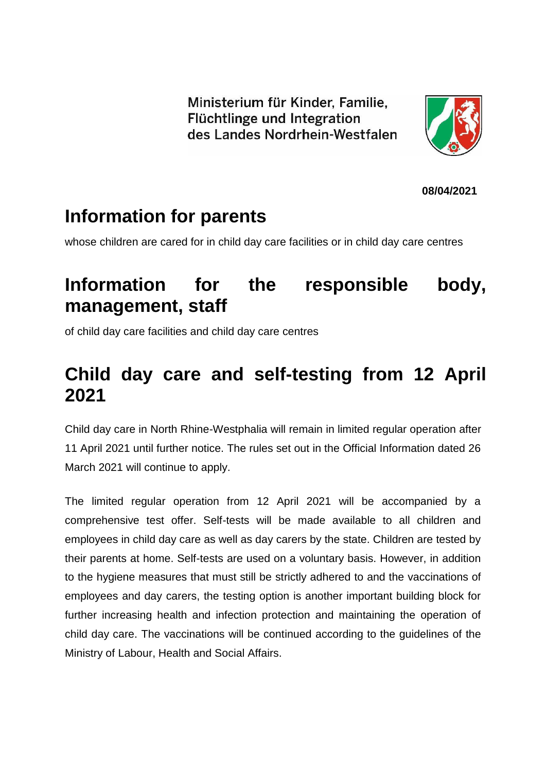Ministerium für Kinder, Familie, Flüchtlinge und Integration des Landes Nordrhein-Westfalen



**08/04/2021**

### **Information for parents**

whose children are cared for in child day care facilities or in child day care centres

## **Information for the responsible body, management, staff**

of child day care facilities and child day care centres

# **Child day care and self-testing from 12 April 2021**

Child day care in North Rhine-Westphalia will remain in limited regular operation after 11 April 2021 until further notice. The rules set out in the Official Information dated 26 March 2021 will continue to apply.

The limited regular operation from 12 April 2021 will be accompanied by a comprehensive test offer. Self-tests will be made available to all children and employees in child day care as well as day carers by the state. Children are tested by their parents at home. Self-tests are used on a voluntary basis. However, in addition to the hygiene measures that must still be strictly adhered to and the vaccinations of employees and day carers, the testing option is another important building block for further increasing health and infection protection and maintaining the operation of child day care. The vaccinations will be continued according to the guidelines of the Ministry of Labour, Health and Social Affairs.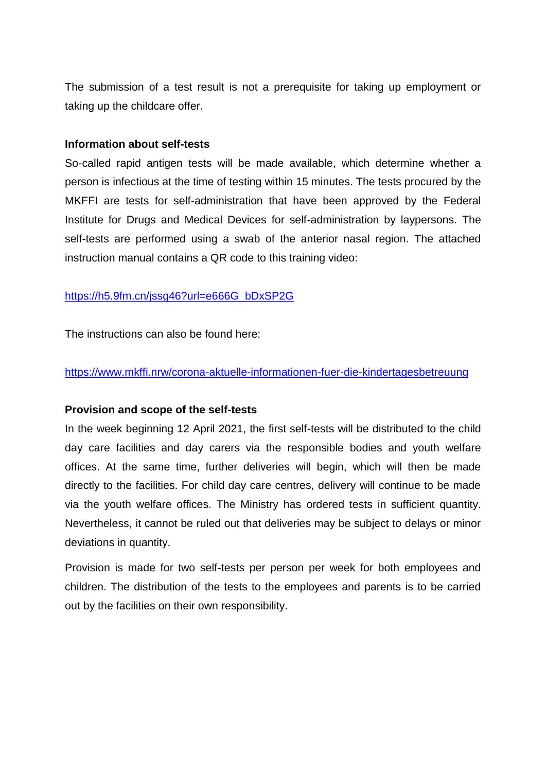The submission of a test result is not a prerequisite for taking up employment or taking up the childcare offer.

#### **Information about self-tests**

So-called rapid antigen tests will be made available, which determine whether a person is infectious at the time of testing within 15 minutes. The tests procured by the MKFFI are tests for self-administration that have been approved by the Federal Institute for Drugs and Medical Devices for self-administration by laypersons. The self-tests are performed using a swab of the anterior nasal region. The attached instruction manual contains a QR code to this training video:

#### [https://h5.9fm.cn/jssg46?url=e666G\\_bDxSP2G](https://h5.9fm.cn/jssg46?url=e666G_bDxSP2G)

The instructions can also be found here:

#### <https://www.mkffi.nrw/corona-aktuelle-informationen-fuer-die-kindertagesbetreuung>

#### **Provision and scope of the self-tests**

In the week beginning 12 April 2021, the first self-tests will be distributed to the child day care facilities and day carers via the responsible bodies and youth welfare offices. At the same time, further deliveries will begin, which will then be made directly to the facilities. For child day care centres, delivery will continue to be made via the youth welfare offices. The Ministry has ordered tests in sufficient quantity. Nevertheless, it cannot be ruled out that deliveries may be subject to delays or minor deviations in quantity.

Provision is made for two self-tests per person per week for both employees and children. The distribution of the tests to the employees and parents is to be carried out by the facilities on their own responsibility.